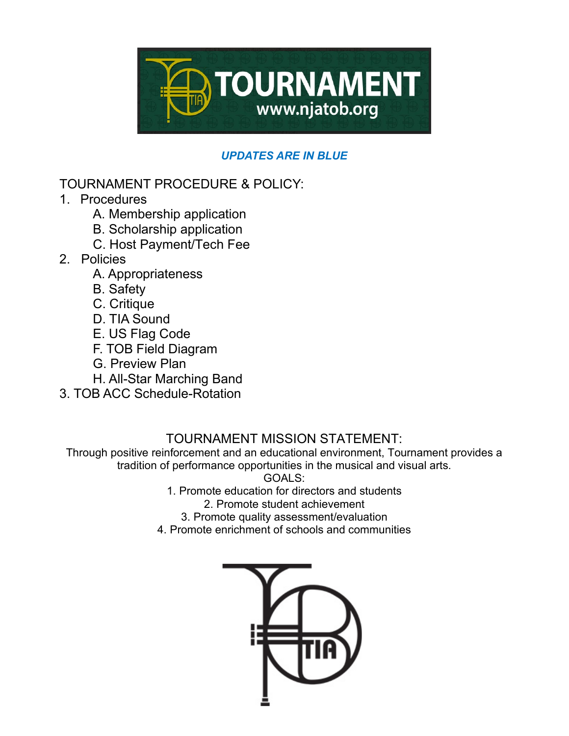

## *UPDATES ARE IN BLUE*

# TOURNAMENT PROCEDURE & POLICY:

- 1. Procedures
	- A. Membership application
	- B. Scholarship application
	- C. Host Payment/Tech Fee
- 2. Policies
	- A. Appropriateness
	- B. Safety
	- C. Critique
	- D. TIA Sound
	- E. US Flag Code
	- F. TOB Field Diagram
	- G. Preview Plan
	- H. All-Star Marching Band
- 3. TOB ACC Schedule-Rotation

# TOURNAMENT MISSION STATEMENT:

Through positive reinforcement and an educational environment, Tournament provides a tradition of performance opportunities in the musical and visual arts.

GOALS:

1. Promote education for directors and students

2. Promote student achievement

- 3. Promote quality assessment/evaluation
- 4. Promote enrichment of schools and communities

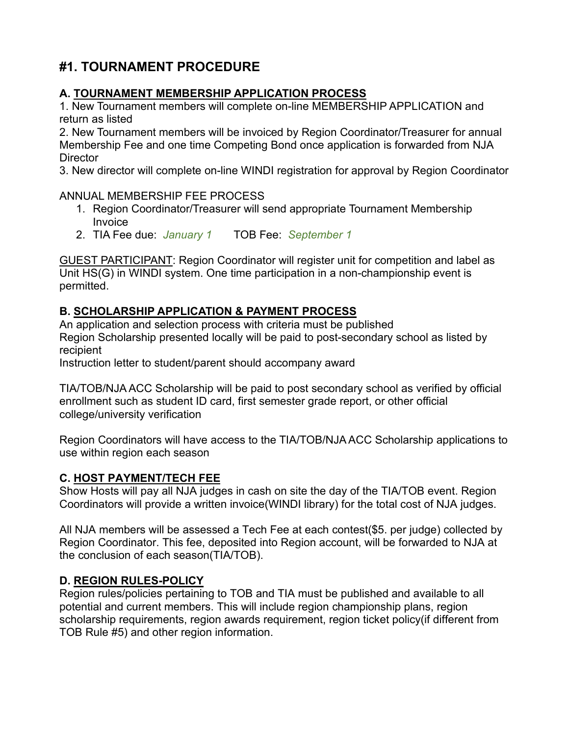# **#1. TOURNAMENT PROCEDURE**

## **A. TOURNAMENT MEMBERSHIP APPLICATION PROCESS**

1. New Tournament members will complete on-line MEMBERSHIP APPLICATION and return as listed

2. New Tournament members will be invoiced by Region Coordinator/Treasurer for annual Membership Fee and one time Competing Bond once application is forwarded from NJA **Director** 

3. New director will complete on-line WINDI registration for approval by Region Coordinator

#### ANNUAL MEMBERSHIP FEE PROCESS

- 1. Region Coordinator/Treasurer will send appropriate Tournament Membership Invoice
- 2. TIA Fee due: *January 1* TOB Fee: *September 1*

GUEST PARTICIPANT: Region Coordinator will register unit for competition and label as Unit HS(G) in WINDI system. One time participation in a non-championship event is permitted.

## **B. SCHOLARSHIP APPLICATION & PAYMENT PROCESS**

An application and selection process with criteria must be published Region Scholarship presented locally will be paid to post-secondary school as listed by recipient

Instruction letter to student/parent should accompany award

TIA/TOB/NJA ACC Scholarship will be paid to post secondary school as verified by official enrollment such as student ID card, first semester grade report, or other official college/university verification

Region Coordinators will have access to the TIA/TOB/NJA ACC Scholarship applications to use within region each season

## **C. HOST PAYMENT/TECH FEE**

Show Hosts will pay all NJA judges in cash on site the day of the TIA/TOB event. Region Coordinators will provide a written invoice(WINDI library) for the total cost of NJA judges.

All NJA members will be assessed a Tech Fee at each contest(\$5. per judge) collected by Region Coordinator. This fee, deposited into Region account, will be forwarded to NJA at the conclusion of each season(TIA/TOB).

## **D. REGION RULES-POLICY**

Region rules/policies pertaining to TOB and TIA must be published and available to all potential and current members. This will include region championship plans, region scholarship requirements, region awards requirement, region ticket policy(if different from TOB Rule #5) and other region information.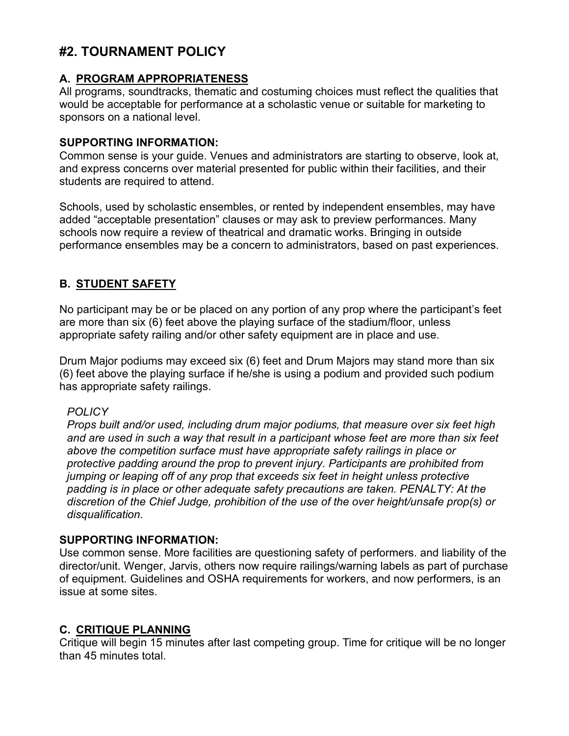# **#2. TOURNAMENT POLICY**

### **A. PROGRAM APPROPRIATENESS**

All programs, soundtracks, thematic and costuming choices must reflect the qualities that would be acceptable for performance at a scholastic venue or suitable for marketing to sponsors on a national level.

#### **SUPPORTING INFORMATION:**

Common sense is your guide. Venues and administrators are starting to observe, look at, and express concerns over material presented for public within their facilities, and their students are required to attend.

Schools, used by scholastic ensembles, or rented by independent ensembles, may have added "acceptable presentation" clauses or may ask to preview performances. Many schools now require a review of theatrical and dramatic works. Bringing in outside performance ensembles may be a concern to administrators, based on past experiences.

## **B. STUDENT SAFETY**

No participant may be or be placed on any portion of any prop where the participant's feet are more than six (6) feet above the playing surface of the stadium/floor, unless appropriate safety railing and/or other safety equipment are in place and use.

Drum Major podiums may exceed six (6) feet and Drum Majors may stand more than six (6) feet above the playing surface if he/she is using a podium and provided such podium has appropriate safety railings.

#### *POLICY*

*Props built and/or used, including drum major podiums, that measure over six feet high and are used in such a way that result in a participant whose feet are more than six feet above the competition surface must have appropriate safety railings in place or protective padding around the prop to prevent injury. Participants are prohibited from jumping or leaping off of any prop that exceeds six feet in height unless protective padding is in place or other adequate safety precautions are taken. PENALTY: At the discretion of the Chief Judge, prohibition of the use of the over height/unsafe prop(s) or disqualification.*

#### **SUPPORTING INFORMATION:**

Use common sense. More facilities are questioning safety of performers. and liability of the director/unit. Wenger, Jarvis, others now require railings/warning labels as part of purchase of equipment. Guidelines and OSHA requirements for workers, and now performers, is an issue at some sites.

#### **C. CRITIQUE PLANNING**

Critique will begin 15 minutes after last competing group. Time for critique will be no longer than 45 minutes total.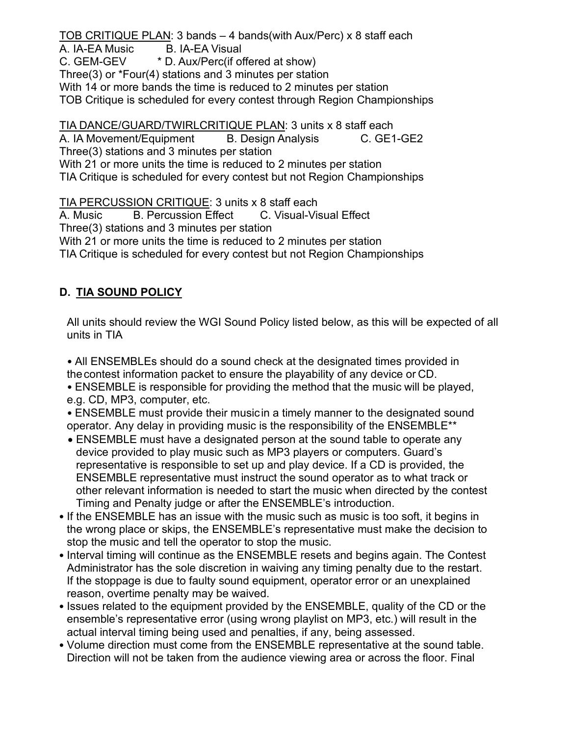TOB CRITIQUE PLAN: 3 bands – 4 bands(with Aux/Perc) x 8 staff each A. IA-EA Music B. IA-EA Visual C. GEM-GEV \* D. Aux/Perc(if offered at show) Three(3) or \*Four(4) stations and 3 minutes per station With 14 or more bands the time is reduced to 2 minutes per station TOB Critique is scheduled for every contest through Region Championships

TIA DANCE/GUARD/TWIRLCRITIQUE PLAN: 3 units x 8 staff each A. IA Movement/Equipment B. Design Analysis C. GE1-GE2 Three(3) stations and 3 minutes per station With 21 or more units the time is reduced to 2 minutes per station TIA Critique is scheduled for every contest but not Region Championships

TIA PERCUSSION CRITIQUE: 3 units x 8 staff each

A. Music B. Percussion Effect C. Visual-Visual Effect Three(3) stations and 3 minutes per station With 21 or more units the time is reduced to 2 minutes per station TIA Critique is scheduled for every contest but not Region Championships

## **D. TIA SOUND POLICY**

All units should review the WGI Sound Policy listed below, as this will be expected of all units in TIA

• All ENSEMBLEs should do a sound check at the designated times provided in thecontest information packet to ensure the playability of any device or CD.

- ENSEMBLE is responsible for providing the method that the music will be played, e.g. CD, MP3, computer, etc.
- ENSEMBLE must provide their musicin a timely manner to the designated sound operator. Any delay in providing music is the responsibility of the ENSEMBLE\*\*
- ENSEMBLE must have a designated person at the sound table to operate any device provided to play music such as MP3 players or computers. Guard's representative is responsible to set up and play device. If a CD is provided, the ENSEMBLE representative must instruct the sound operator as to what track or other relevant information is needed to start the music when directed by the contest Timing and Penalty judge or after the ENSEMBLE's introduction.
- If the ENSEMBLE has an issue with the music such as music is too soft, it begins in the wrong place or skips, the ENSEMBLE's representative must make the decision to stop the music and tell the operator to stop the music.
- Interval timing will continue as the ENSEMBLE resets and begins again. The Contest Administrator has the sole discretion in waiving any timing penalty due to the restart. If the stoppage is due to faulty sound equipment, operator error or an unexplained reason, overtime penalty may be waived.
- Issues related to the equipment provided by the ENSEMBLE, quality of the CD or the ensemble's representative error (using wrong playlist on MP3, etc.) will result in the actual interval timing being used and penalties, if any, being assessed.
- Volume direction must come from the ENSEMBLE representative at the sound table. Direction will not be taken from the audience viewing area or across the floor. Final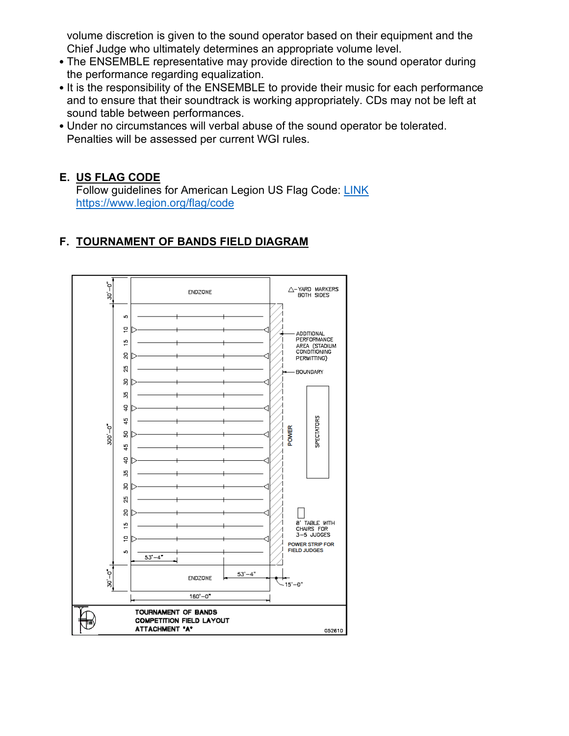volume discretion is given to the sound operator based on their equipment and the Chief Judge who ultimately determines an appropriate volume level.

- The ENSEMBLE representative may provide direction to the sound operator during the performance regarding equalization.
- It is the responsibility of the ENSEMBLE to provide their music for each performance and to ensure that their soundtrack is working appropriately. CDs may not be left at sound table between performances.
- Under no circumstances will verbal abuse of the sound operator be tolerated. Penalties will be assessed per current WGI rules.

## **E. US FLAG CODE**

Follow guidelines for American Legion US Flag Code: [LINK](https://www.legion.org/flag/code) <https://www.legion.org/flag/code>



# **F. TOURNAMENT OF BANDS FIELD DIAGRAM**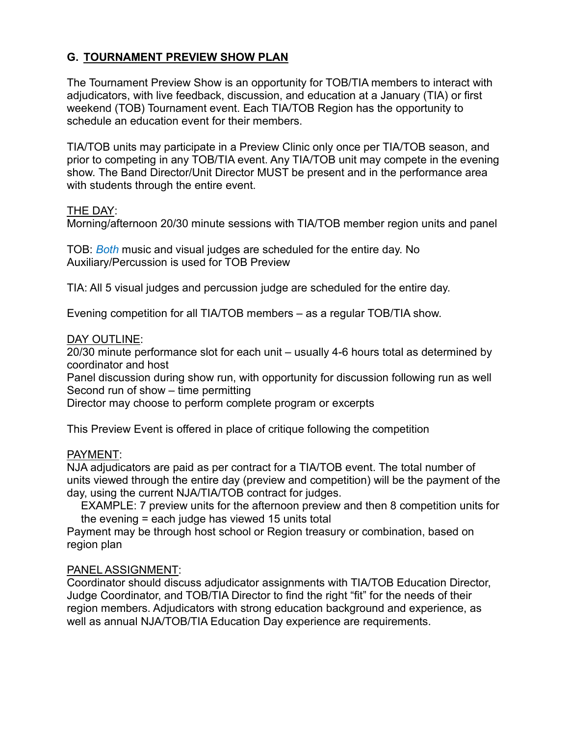## **G. TOURNAMENT PREVIEW SHOW PLAN**

The Tournament Preview Show is an opportunity for TOB/TIA members to interact with adjudicators, with live feedback, discussion, and education at a January (TIA) or first weekend (TOB) Tournament event. Each TIA/TOB Region has the opportunity to schedule an education event for their members.

TIA/TOB units may participate in a Preview Clinic only once per TIA/TOB season, and prior to competing in any TOB/TIA event. Any TIA/TOB unit may compete in the evening show. The Band Director/Unit Director MUST be present and in the performance area with students through the entire event.

#### THE DAY:

Morning/afternoon 20/30 minute sessions with TIA/TOB member region units and panel

TOB: *Both* music and visual judges are scheduled for the entire day. No Auxiliary/Percussion is used for TOB Preview

TIA: All 5 visual judges and percussion judge are scheduled for the entire day.

Evening competition for all TIA/TOB members – as a regular TOB/TIA show.

#### DAY OUTLINE:

20/30 minute performance slot for each unit – usually 4-6 hours total as determined by coordinator and host

Panel discussion during show run, with opportunity for discussion following run as well Second run of show – time permitting

Director may choose to perform complete program or excerpts

This Preview Event is offered in place of critique following the competition

#### PAYMENT:

NJA adjudicators are paid as per contract for a TIA/TOB event. The total number of units viewed through the entire day (preview and competition) will be the payment of the day, using the current NJA/TIA/TOB contract for judges.

EXAMPLE: 7 preview units for the afternoon preview and then 8 competition units for the evening = each judge has viewed 15 units total

Payment may be through host school or Region treasury or combination, based on region plan

#### PANEL ASSIGNMENT:

Coordinator should discuss adjudicator assignments with TIA/TOB Education Director, Judge Coordinator, and TOB/TIA Director to find the right "fit" for the needs of their region members. Adjudicators with strong education background and experience, as well as annual NJA/TOB/TIA Education Day experience are requirements.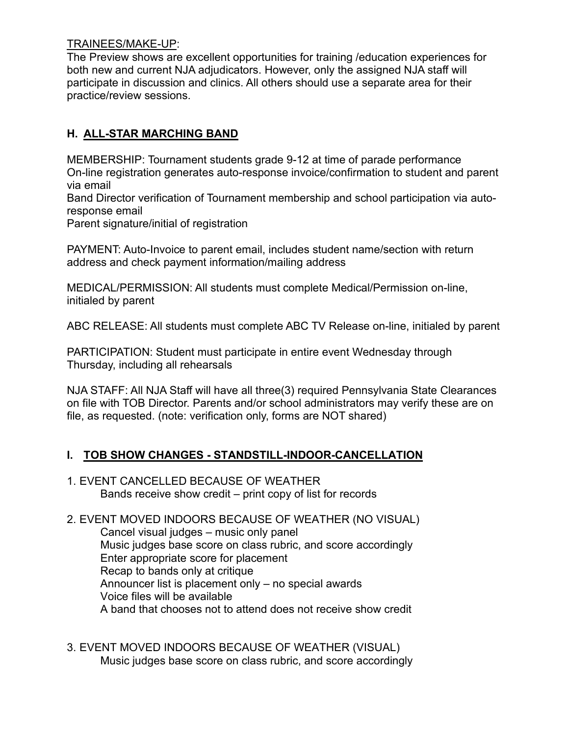#### TRAINEES/MAKE-UP:

The Preview shows are excellent opportunities for training /education experiences for both new and current NJA adjudicators. However, only the assigned NJA staff will participate in discussion and clinics. All others should use a separate area for their practice/review sessions.

## **H. ALL-STAR MARCHING BAND**

MEMBERSHIP: Tournament students grade 9-12 at time of parade performance On-line registration generates auto-response invoice/confirmation to student and parent via email

Band Director verification of Tournament membership and school participation via autoresponse email

Parent signature/initial of registration

PAYMENT: Auto-Invoice to parent email, includes student name/section with return address and check payment information/mailing address

MEDICAL/PERMISSION: All students must complete Medical/Permission on-line, initialed by parent

ABC RELEASE: All students must complete ABC TV Release on-line, initialed by parent

PARTICIPATION: Student must participate in entire event Wednesday through Thursday, including all rehearsals

NJA STAFF: All NJA Staff will have all three(3) required Pennsylvania State Clearances on file with TOB Director. Parents and/or school administrators may verify these are on file, as requested. (note: verification only, forms are NOT shared)

## **I. TOB SHOW CHANGES - STANDSTILL-INDOOR-CANCELLATION**

1. EVENT CANCELLED BECAUSE OF WEATHER Bands receive show credit – print copy of list for records

2. EVENT MOVED INDOORS BECAUSE OF WEATHER (NO VISUAL) Cancel visual judges – music only panel Music judges base score on class rubric, and score accordingly Enter appropriate score for placement Recap to bands only at critique Announcer list is placement only – no special awards Voice files will be available A band that chooses not to attend does not receive show credit

3. EVENT MOVED INDOORS BECAUSE OF WEATHER (VISUAL) Music judges base score on class rubric, and score accordingly